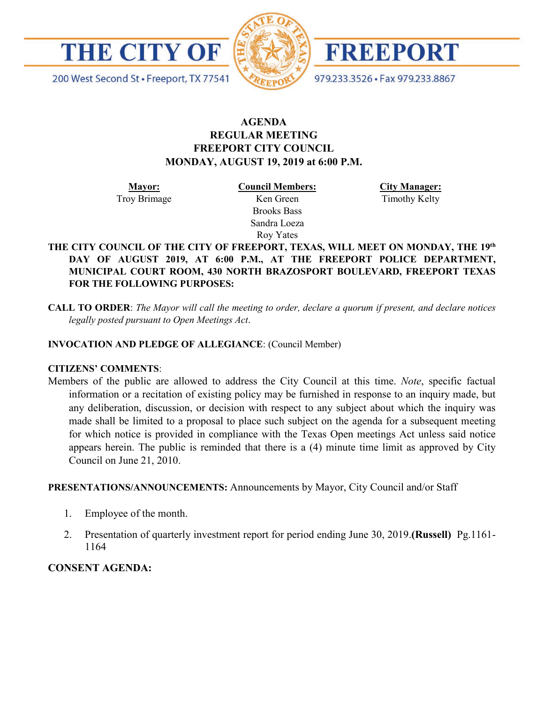

200 West Second St · Freeport, TX 77541



FREEPORT

979.233.3526 · Fax 979.233.8867

# **AGENDA REGULAR MEETING FREEPORT CITY COUNCIL MONDAY, AUGUST 19, 2019 at 6:00 P.M.**

**Mayor:** Troy Brimage **Council Members:** Ken Green

> Brooks Bass Sandra Loeza

**City Manager:**

Timothy Kelty

Roy Yates **THE CITY COUNCIL OF THE CITY OF FREEPORT, TEXAS, WILL MEET ON MONDAY, THE 19th DAY OF AUGUST 2019, AT 6:00 P.M., AT THE FREEPORT POLICE DEPARTMENT, MUNICIPAL COURT ROOM, 430 NORTH BRAZOSPORT BOULEVARD, FREEPORT TEXAS FOR THE FOLLOWING PURPOSES:**

**CALL TO ORDER**: *The Mayor will call the meeting to order, declare a quorum if present, and declare notices legally posted pursuant to Open Meetings Act*.

### **INVOCATION AND PLEDGE OF ALLEGIANCE**: (Council Member)

### **CITIZENS' COMMENTS**:

Members of the public are allowed to address the City Council at this time. *Note*, specific factual information or a recitation of existing policy may be furnished in response to an inquiry made, but any deliberation, discussion, or decision with respect to any subject about which the inquiry was made shall be limited to a proposal to place such subject on the agenda for a subsequent meeting for which notice is provided in compliance with the Texas Open meetings Act unless said notice appears herein. The public is reminded that there is a (4) minute time limit as approved by City Council on June 21, 2010.

### **PRESENTATIONS/ANNOUNCEMENTS:** Announcements by Mayor, City Council and/or Staff

- 1. Employee of the month.
- 2. Presentation of quarterly investment report for period ending June 30, 2019.**(Russell)** Pg.1161- 1164

# **CONSENT AGENDA:**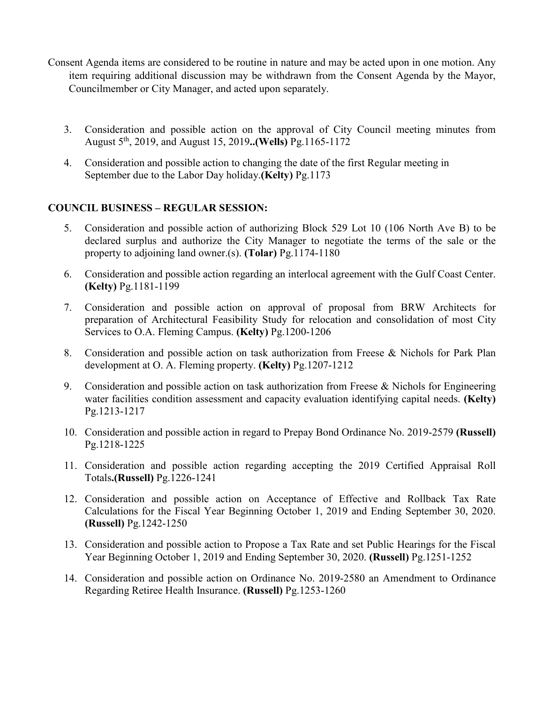- Consent Agenda items are considered to be routine in nature and may be acted upon in one motion. Any item requiring additional discussion may be withdrawn from the Consent Agenda by the Mayor, Councilmember or City Manager, and acted upon separately.
	- 3. Consideration and possible action on the approval of City Council meeting minutes from August 5th, 2019, and August 15, 2019**..(Wells)** Pg.1165-1172
	- 4. Consideration and possible action to changing the date of the first Regular meeting in September due to the Labor Day holiday.**(Kelty)** Pg.1173

## **COUNCIL BUSINESS – REGULAR SESSION:**

- 5. Consideration and possible action of authorizing Block 529 Lot 10 (106 North Ave B) to be declared surplus and authorize the City Manager to negotiate the terms of the sale or the property to adjoining land owner.(s). **(Tolar)** Pg.1174-1180
- 6. Consideration and possible action regarding an interlocal agreement with the Gulf Coast Center. **(Kelty)** Pg.1181-1199
- 7. Consideration and possible action on approval of proposal from BRW Architects for preparation of Architectural Feasibility Study for relocation and consolidation of most City Services to O.A. Fleming Campus. **(Kelty)** Pg.1200-1206
- 8. Consideration and possible action on task authorization from Freese & Nichols for Park Plan development at O. A. Fleming property. **(Kelty)** Pg.1207-1212
- 9. Consideration and possible action on task authorization from Freese & Nichols for Engineering water facilities condition assessment and capacity evaluation identifying capital needs. **(Kelty)** Pg.1213-1217
- 10. Consideration and possible action in regard to Prepay Bond Ordinance No. 2019-2579 **(Russell)** Pg.1218-1225
- 11. Consideration and possible action regarding accepting the 2019 Certified Appraisal Roll Totals**.(Russell)** Pg.1226-1241
- 12. Consideration and possible action on Acceptance of Effective and Rollback Tax Rate Calculations for the Fiscal Year Beginning October 1, 2019 and Ending September 30, 2020. **(Russell)** Pg.1242-1250
- 13. Consideration and possible action to Propose a Tax Rate and set Public Hearings for the Fiscal Year Beginning October 1, 2019 and Ending September 30, 2020. **(Russell)** Pg.1251-1252
- 14. Consideration and possible action on Ordinance No. 2019-2580 an Amendment to Ordinance Regarding Retiree Health Insurance. **(Russell)** Pg.1253-1260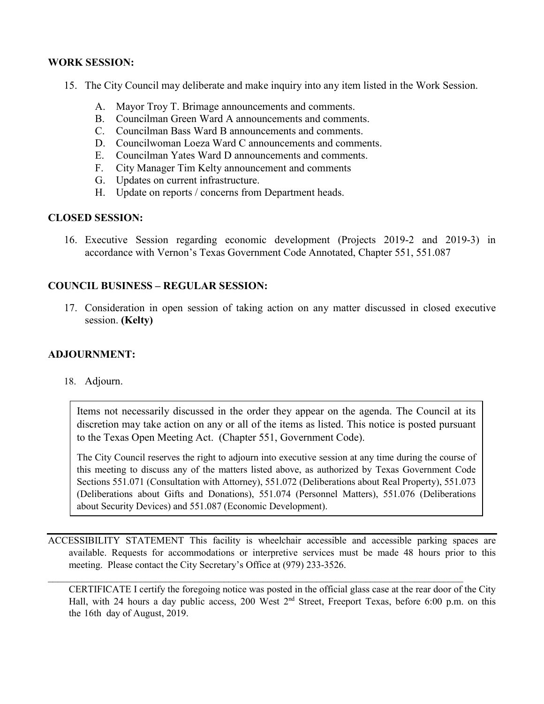## **WORK SESSION:**

- 15. The City Council may deliberate and make inquiry into any item listed in the Work Session.
	- A. Mayor Troy T. Brimage announcements and comments.
	- B. Councilman Green Ward A announcements and comments.
	- C. Councilman Bass Ward B announcements and comments.
	- D. Councilwoman Loeza Ward C announcements and comments.
	- E. Councilman Yates Ward D announcements and comments.
	- F. City Manager Tim Kelty announcement and comments
	- G. Updates on current infrastructure.
	- H. Update on reports / concerns from Department heads.

### **CLOSED SESSION:**

16. Executive Session regarding economic development (Projects 2019-2 and 2019-3) in accordance with Vernon's Texas Government Code Annotated, Chapter 551, 551.087

## **COUNCIL BUSINESS – REGULAR SESSION:**

17. Consideration in open session of taking action on any matter discussed in closed executive session. **(Kelty)**

### **ADJOURNMENT:**

### 18. Adjourn.

Items not necessarily discussed in the order they appear on the agenda. The Council at its discretion may take action on any or all of the items as listed. This notice is posted pursuant to the Texas Open Meeting Act. (Chapter 551, Government Code).

The City Council reserves the right to adjourn into executive session at any time during the course of this meeting to discuss any of the matters listed above, as authorized by Texas Government Code Sections 551.071 (Consultation with Attorney), 551.072 (Deliberations about Real Property), 551.073 (Deliberations about Gifts and Donations), 551.074 (Personnel Matters), 551.076 (Deliberations about Security Devices) and 551.087 (Economic Development).

ACCESSIBILITY STATEMENT This facility is wheelchair accessible and accessible parking spaces are available. Requests for accommodations or interpretive services must be made 48 hours prior to this meeting. Please contact the City Secretary's Office at (979) 233-3526.

 $\_$  , and the set of the set of the set of the set of the set of the set of the set of the set of the set of the set of the set of the set of the set of the set of the set of the set of the set of the set of the set of th

CERTIFICATE I certify the foregoing notice was posted in the official glass case at the rear door of the City Hall, with 24 hours a day public access, 200 West 2<sup>nd</sup> Street, Freeport Texas, before 6:00 p.m. on this the 16th day of August, 2019.